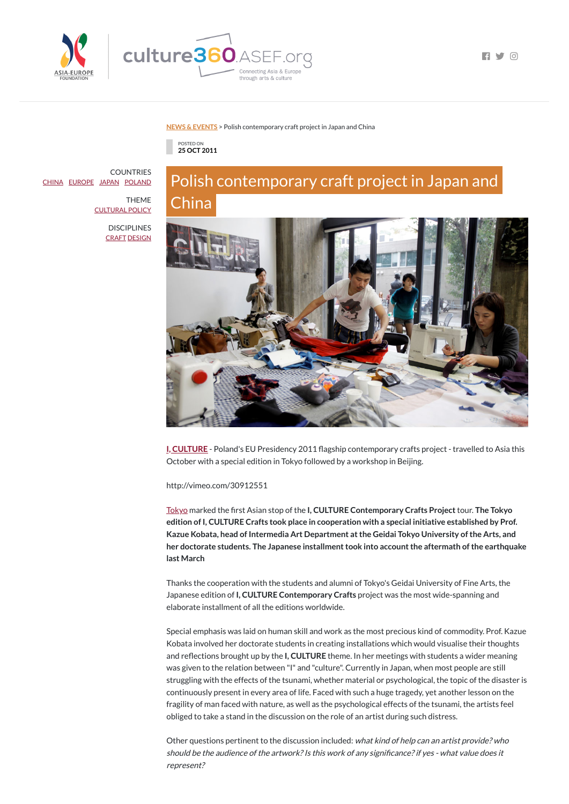

**FI Y 0** 

#### **NEWS & [EVENTS](https://culture360.asef.org/news-events/)** > Polish contemporary craft project in Japan and China



# Polish contemporary craft project in Japan and China



**I, [CULTURE](http://www.culture.pl/web/english/iculture)** - Poland's EU Presidency 2011 flagship contemporary crafts project - travelled to Asia this October with a special edition in Tokyo followed by a workshop in Beijing.

http://vimeo.com/30912551

[Tokyo](http://www.culture.pl/web/english/calendar-world-full/-/eo_event_asset_publisher/tb2G/content/special-edition-of-i-culture-in-japan) marked the rst Asian stop of the **I, CULTURE Contemporary Crafts Project**tour. **The Tokyo edition of I, CULTURE Crafts took place in cooperation with a special initiative established by Prof. Kazue Kobata, head of Intermedia Art Department atthe Geidai Tokyo University ofthe Arts, and her doctorate students. The Japanese installmenttook into accountthe aftermath ofthe earthquake last March**

Thanks the cooperation with the students and alumni of Tokyo's Geidai University of Fine Arts, the Japanese edition of **I, CULTURE Contemporary Crafts** project was the most wide-spanning and

### elaborate installment of all the editions worldwide.

**COUNTRIES** [CHINA](https://culture360.asef.org/countries/china/) [EUROPE](https://culture360.asef.org/countries/europe/) [JAPAN](https://culture360.asef.org/countries/japan/) [POLAND](https://culture360.asef.org/countries/poland/)

> **DISCIPLINES** [CRAFT](https://culture360.asef.org/disciplines/craft/) [DESIGN](https://culture360.asef.org/disciplines/design/)

> > Special emphasis was laid on human skill and work as the most precious kind of commodity. Prof. Kazue Kobata involved her doctorate students in creating installations which would visualise their thoughts and reflections brought up by the **I, CULTURE** theme. In her meetings with students a wider meaning was given to the relation between "I" and "culture". Currently in Japan, when most people are still struggling with the effects of the tsunami, whether material or psychological, the topic of the disaster is continuously present in every area of life. Faced with such a huge tragedy, yet another lesson on the fragility of man faced with nature, as well as the psychological effects of the tsunami, the artists feel obliged to take a stand in the discussion on the role of an artist during such distress.

Other questions pertinent to the discussion included: what kind of help can an artist provide? who should be the audience of the artwork? Is this work of any significance? if yes - what value does it represent?

THEME [CULTURAL](https://culture360.asef.org/themes/cultural-policy/) POLICY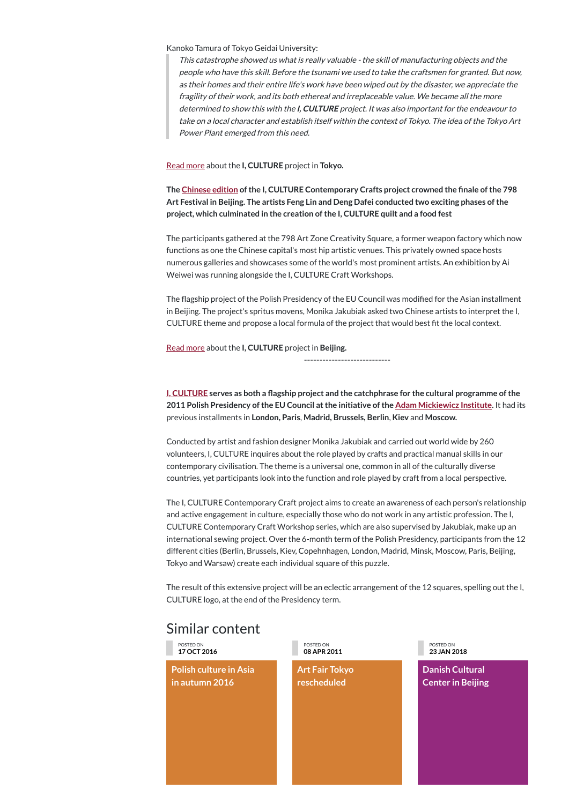# Similar content

Kanoko Tamura of Tokyo Geidai University:

This catastrophe showed us what is really valuable - the skill of manufacturing objects and the people who have this skill. Before the tsunami we used to take the craftsmen for granted. But now, as their homes and their entire life's work have been wiped out by the disaster, we appreciate the fragility of their work, and its both ethereal and irreplaceable value. We became all the more determined to show this with the **I, CULTURE** project. It was also important for the endeavour to take on <sup>a</sup> local character and establish itself within the context of Tokyo. The idea of the Tokyo Art Power Plant emerged from this need.

Read [more](http://www.culture.pl/web/english/calendar-world-full/-/eo_event_asset_publisher/tb2G/content/special-edition-of-i-culture-in-japan) about the **I, CULTURE** project in **Tokyo.**

**The [Chinese](http://www.culture.pl/web/english/calendar-world-full/-/eo_event_asset_publisher/tb2G/content/chinese-798-art-festival-features-i-culture-crafts) edition ofthe I, CULTURE Contemporary Crafts project crowned the nale ofthe 798 Art Festival in Beijing. The artists Feng Lin and Deng Dafei conducted two exciting phases ofthe project, which culminated in the creation ofthe I, CULTURE quilt and a food fest**

The participants gathered at the 798 Art Zone Creativity Square, a former weapon factory which now functions as one the Chinese capital's most hip artistic venues. This privately owned space hosts numerous galleries and showcases some of the world's most prominent artists. An exhibition by Ai Weiwei was running alongside the I, CULTURE Craft Workshops.

The flagship project of the Polish Presidency of the EU Council was modified for the Asian installment in Beijing. The project's spritus movens, Monika Jakubiak asked two Chinese artists to interpret the I, CULTURE theme and propose a local formula of the project that would best fit the local context.

Read [more](http://www.culture.pl/web/english/calendar-world-full/-/eo_event_asset_publisher/tb2G/content/chinese-798-art-festival-features-i-culture-crafts) about the **I, CULTURE** project in **Beijing.**

----------------------------

**I, [CULTURE](http://www.culture.pl/web/english/iculture) serves as both a agship project and the catchphrase for the cultural programme ofthe 2011 Polish Presidency ofthe EU Council atthe initiative ofthe Adam [Mickiewicz](http://www.iam.pl/en) Institute.** It had its previous installments in **London, Paris**, **Madrid, Brussels, Berlin**, **Kiev** and **Moscow.**

Conducted by artist and fashion designer Monika Jakubiak and carried out world wide by 260 volunteers, I, CULTURE inquires about the role played by crafts and practical manual skills in our contemporary civilisation. The theme is a universal one, common in all of the culturally diverse countries, yet participants look into the function and role played by craft from a local perspective.

The I, CULTURE Contemporary Craft project aims to create an awareness of each person's relationship and active engagement in culture, especially those who do not work in any artistic profession. The I, CULTURE Contemporary Craft Workshop series, which are also supervised by Jakubiak, make up an international sewing project. Over the 6-month term of the Polish Presidency, participants from the 12 different cities (Berlin, Brussels, Kiev, Copehnhagen, London, Madrid, Minsk, Moscow, Paris, Beijing, Tokyo and Warsaw) create each individual square of this puzzle.

The result of this extensive project will be an eclectic arrangement of the 12 squares, spelling out the I, CULTURE logo, at the end of the Presidency term.

POSTED ON **17 OCT 2016**

**Polish culture in Asia in autumn 2016**

POSTED ON **08 APR 2011**

**Art Fair Tokyo rescheduled**

POSTED ON **23 JAN 2018**

**Danish [Cultural](https://culture360.asef.org/resources/danish-cultural-center-beijing/) Center in Beijing**